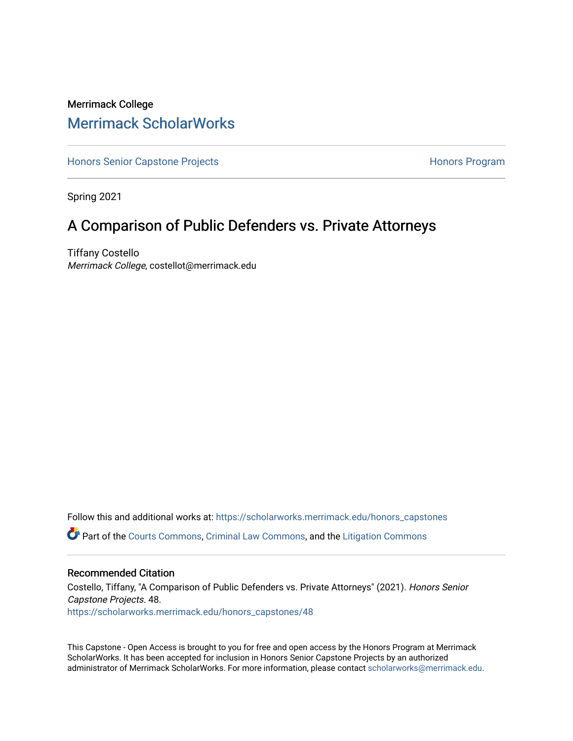# Merrimack College [Merrimack ScholarWorks](https://scholarworks.merrimack.edu/)

[Honors Senior Capstone Projects](https://scholarworks.merrimack.edu/honors_capstones) **Honors Program** Honors Program

Spring 2021

# A Comparison of Public Defenders vs. Private Attorneys

Tiffany Costello Merrimack College, costellot@merrimack.edu

Follow this and additional works at: [https://scholarworks.merrimack.edu/honors\\_capstones](https://scholarworks.merrimack.edu/honors_capstones?utm_source=scholarworks.merrimack.edu%2Fhonors_capstones%2F48&utm_medium=PDF&utm_campaign=PDFCoverPages) Part of the [Courts Commons,](http://network.bepress.com/hgg/discipline/839?utm_source=scholarworks.merrimack.edu%2Fhonors_capstones%2F48&utm_medium=PDF&utm_campaign=PDFCoverPages) [Criminal Law Commons](http://network.bepress.com/hgg/discipline/912?utm_source=scholarworks.merrimack.edu%2Fhonors_capstones%2F48&utm_medium=PDF&utm_campaign=PDFCoverPages), and the [Litigation Commons](http://network.bepress.com/hgg/discipline/910?utm_source=scholarworks.merrimack.edu%2Fhonors_capstones%2F48&utm_medium=PDF&utm_campaign=PDFCoverPages)

#### Recommended Citation

Costello, Tiffany, "A Comparison of Public Defenders vs. Private Attorneys" (2021). Honors Senior Capstone Projects. 48. [https://scholarworks.merrimack.edu/honors\\_capstones/48](https://scholarworks.merrimack.edu/honors_capstones/48?utm_source=scholarworks.merrimack.edu%2Fhonors_capstones%2F48&utm_medium=PDF&utm_campaign=PDFCoverPages) 

This Capstone - Open Access is brought to you for free and open access by the Honors Program at Merrimack ScholarWorks. It has been accepted for inclusion in Honors Senior Capstone Projects by an authorized administrator of Merrimack ScholarWorks. For more information, please contact [scholarworks@merrimack.edu](mailto:scholarworks@merrimack.edu).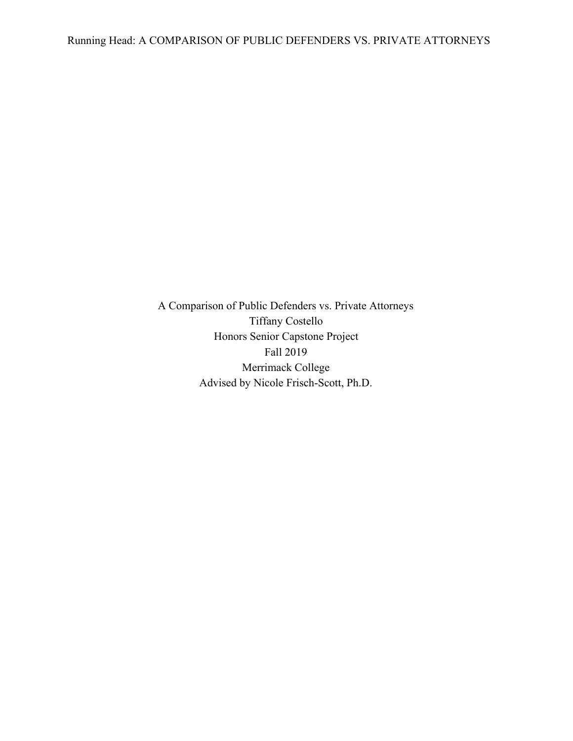A Comparison of Public Defenders vs. Private Attorneys Tiffany Costello Honors Senior Capstone Project Fall 2019 Merrimack College Advised by Nicole Frisch-Scott, Ph.D.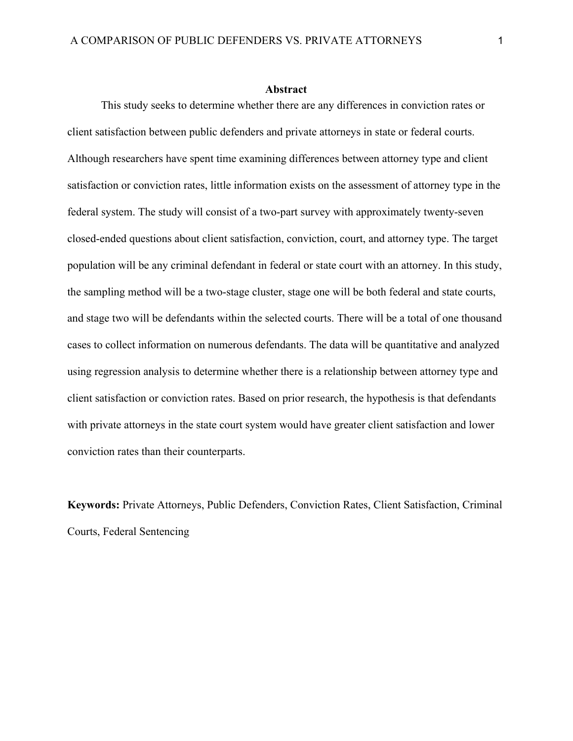#### **Abstract**

This study seeks to determine whether there are any differences in conviction rates or client satisfaction between public defenders and private attorneys in state or federal courts. Although researchers have spent time examining differences between attorney type and client satisfaction or conviction rates, little information exists on the assessment of attorney type in the federal system. The study will consist of a two-part survey with approximately twenty-seven closed-ended questions about client satisfaction, conviction, court, and attorney type. The target population will be any criminal defendant in federal or state court with an attorney. In this study, the sampling method will be a two-stage cluster, stage one will be both federal and state courts, and stage two will be defendants within the selected courts. There will be a total of one thousand cases to collect information on numerous defendants. The data will be quantitative and analyzed using regression analysis to determine whether there is a relationship between attorney type and client satisfaction or conviction rates. Based on prior research, the hypothesis is that defendants with private attorneys in the state court system would have greater client satisfaction and lower conviction rates than their counterparts.

**Keywords:** Private Attorneys, Public Defenders, Conviction Rates, Client Satisfaction, Criminal Courts, Federal Sentencing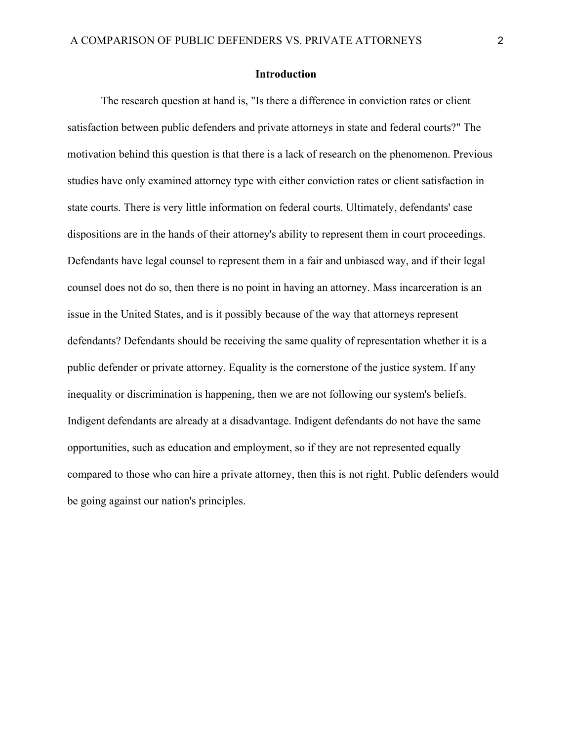#### **Introduction**

The research question at hand is, "Is there a difference in conviction rates or client satisfaction between public defenders and private attorneys in state and federal courts?" The motivation behind this question is that there is a lack of research on the phenomenon. Previous studies have only examined attorney type with either conviction rates or client satisfaction in state courts. There is very little information on federal courts. Ultimately, defendants' case dispositions are in the hands of their attorney's ability to represent them in court proceedings. Defendants have legal counsel to represent them in a fair and unbiased way, and if their legal counsel does not do so, then there is no point in having an attorney. Mass incarceration is an issue in the United States, and is it possibly because of the way that attorneys represent defendants? Defendants should be receiving the same quality of representation whether it is a public defender or private attorney. Equality is the cornerstone of the justice system. If any inequality or discrimination is happening, then we are not following our system's beliefs. Indigent defendants are already at a disadvantage. Indigent defendants do not have the same opportunities, such as education and employment, so if they are not represented equally compared to those who can hire a private attorney, then this is not right. Public defenders would be going against our nation's principles.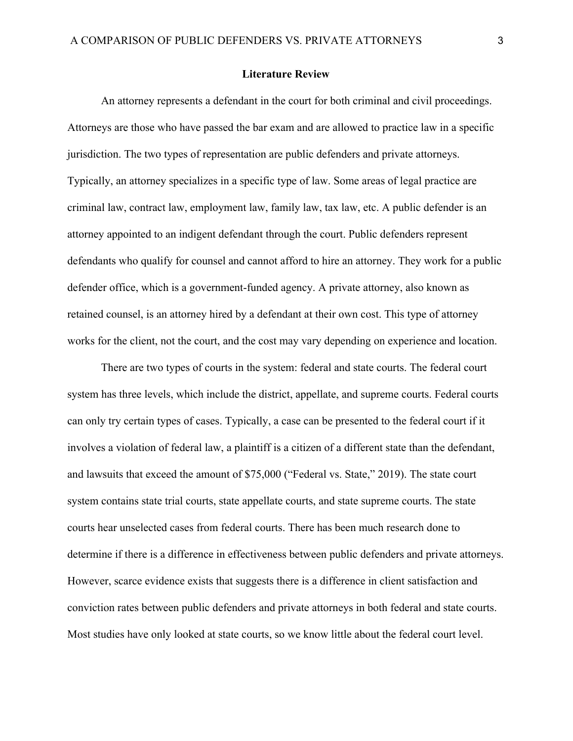#### **Literature Review**

An attorney represents a defendant in the court for both criminal and civil proceedings. Attorneys are those who have passed the bar exam and are allowed to practice law in a specific jurisdiction. The two types of representation are public defenders and private attorneys. Typically, an attorney specializes in a specific type of law. Some areas of legal practice are criminal law, contract law, employment law, family law, tax law, etc. A public defender is an attorney appointed to an indigent defendant through the court. Public defenders represent defendants who qualify for counsel and cannot afford to hire an attorney. They work for a public defender office, which is a government-funded agency. A private attorney, also known as retained counsel, is an attorney hired by a defendant at their own cost. This type of attorney works for the client, not the court, and the cost may vary depending on experience and location.

There are two types of courts in the system: federal and state courts. The federal court system has three levels, which include the district, appellate, and supreme courts. Federal courts can only try certain types of cases. Typically, a case can be presented to the federal court if it involves a violation of federal law, a plaintiff is a citizen of a different state than the defendant, and lawsuits that exceed the amount of \$75,000 ("Federal vs. State," 2019). The state court system contains state trial courts, state appellate courts, and state supreme courts. The state courts hear unselected cases from federal courts. There has been much research done to determine if there is a difference in effectiveness between public defenders and private attorneys. However, scarce evidence exists that suggests there is a difference in client satisfaction and conviction rates between public defenders and private attorneys in both federal and state courts. Most studies have only looked at state courts, so we know little about the federal court level.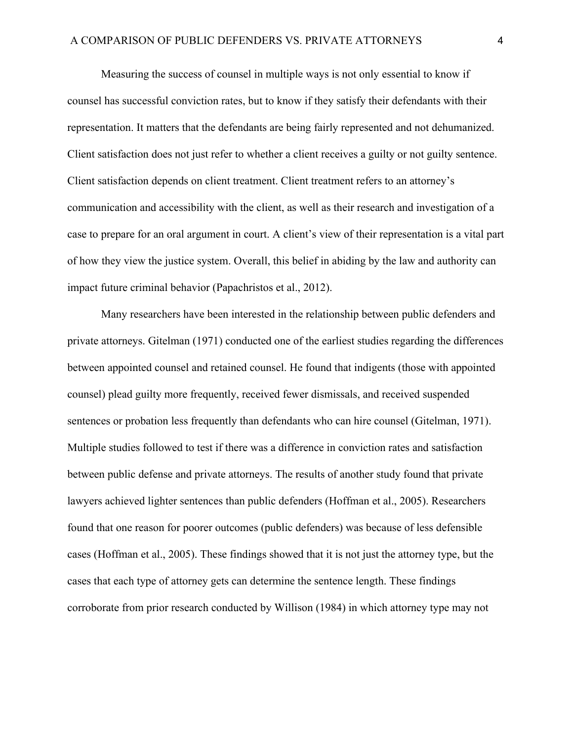Measuring the success of counsel in multiple ways is not only essential to know if counsel has successful conviction rates, but to know if they satisfy their defendants with their representation. It matters that the defendants are being fairly represented and not dehumanized. Client satisfaction does not just refer to whether a client receives a guilty or not guilty sentence. Client satisfaction depends on client treatment. Client treatment refers to an attorney's communication and accessibility with the client, as well as their research and investigation of a case to prepare for an oral argument in court. A client's view of their representation is a vital part of how they view the justice system. Overall, this belief in abiding by the law and authority can impact future criminal behavior (Papachristos et al., 2012).

Many researchers have been interested in the relationship between public defenders and private attorneys. Gitelman (1971) conducted one of the earliest studies regarding the differences between appointed counsel and retained counsel. He found that indigents (those with appointed counsel) plead guilty more frequently, received fewer dismissals, and received suspended sentences or probation less frequently than defendants who can hire counsel (Gitelman, 1971). Multiple studies followed to test if there was a difference in conviction rates and satisfaction between public defense and private attorneys. The results of another study found that private lawyers achieved lighter sentences than public defenders (Hoffman et al., 2005). Researchers found that one reason for poorer outcomes (public defenders) was because of less defensible cases (Hoffman et al., 2005). These findings showed that it is not just the attorney type, but the cases that each type of attorney gets can determine the sentence length. These findings corroborate from prior research conducted by Willison (1984) in which attorney type may not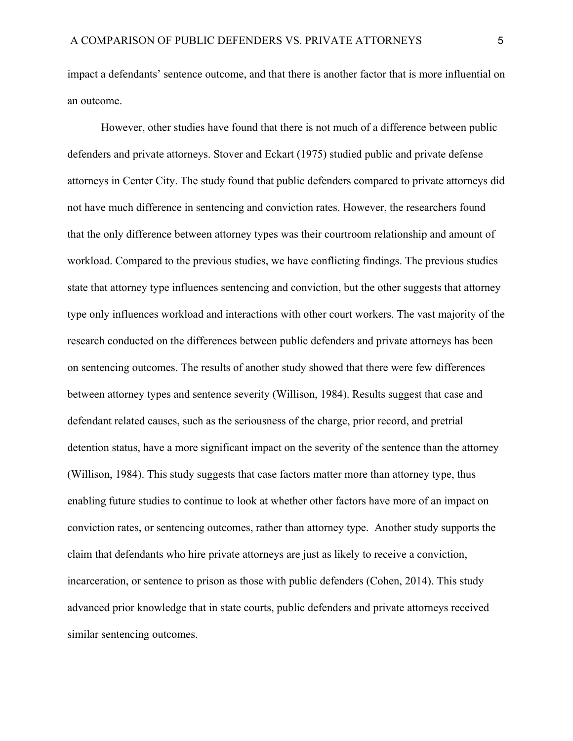impact a defendants' sentence outcome, and that there is another factor that is more influential on an outcome.

However, other studies have found that there is not much of a difference between public defenders and private attorneys. Stover and Eckart (1975) studied public and private defense attorneys in Center City. The study found that public defenders compared to private attorneys did not have much difference in sentencing and conviction rates. However, the researchers found that the only difference between attorney types was their courtroom relationship and amount of workload. Compared to the previous studies, we have conflicting findings. The previous studies state that attorney type influences sentencing and conviction, but the other suggests that attorney type only influences workload and interactions with other court workers. The vast majority of the research conducted on the differences between public defenders and private attorneys has been on sentencing outcomes. The results of another study showed that there were few differences between attorney types and sentence severity (Willison, 1984). Results suggest that case and defendant related causes, such as the seriousness of the charge, prior record, and pretrial detention status, have a more significant impact on the severity of the sentence than the attorney (Willison, 1984). This study suggests that case factors matter more than attorney type, thus enabling future studies to continue to look at whether other factors have more of an impact on conviction rates, or sentencing outcomes, rather than attorney type. Another study supports the claim that defendants who hire private attorneys are just as likely to receive a conviction, incarceration, or sentence to prison as those with public defenders (Cohen, 2014). This study advanced prior knowledge that in state courts, public defenders and private attorneys received similar sentencing outcomes.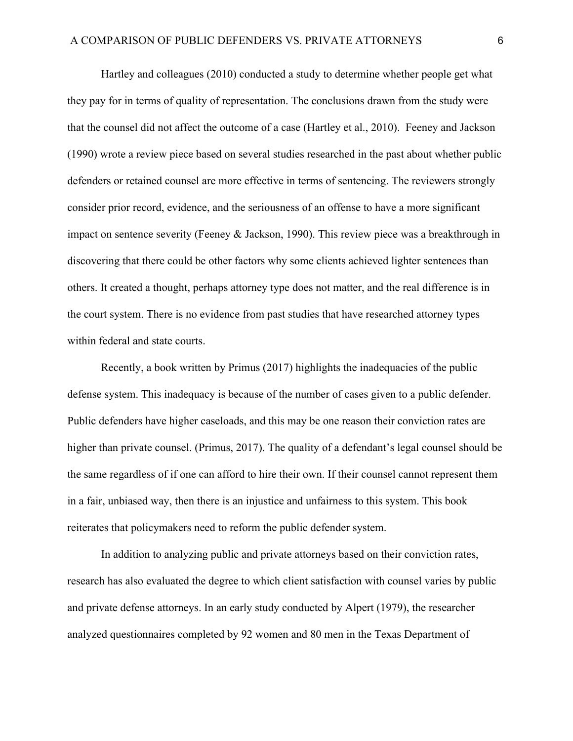Hartley and colleagues (2010) conducted a study to determine whether people get what they pay for in terms of quality of representation. The conclusions drawn from the study were that the counsel did not affect the outcome of a case (Hartley et al., 2010). Feeney and Jackson (1990) wrote a review piece based on several studies researched in the past about whether public defenders or retained counsel are more effective in terms of sentencing. The reviewers strongly consider prior record, evidence, and the seriousness of an offense to have a more significant impact on sentence severity (Feeney & Jackson, 1990). This review piece was a breakthrough in discovering that there could be other factors why some clients achieved lighter sentences than others. It created a thought, perhaps attorney type does not matter, and the real difference is in the court system. There is no evidence from past studies that have researched attorney types within federal and state courts.

Recently, a book written by Primus (2017) highlights the inadequacies of the public defense system. This inadequacy is because of the number of cases given to a public defender. Public defenders have higher caseloads, and this may be one reason their conviction rates are higher than private counsel. (Primus, 2017). The quality of a defendant's legal counsel should be the same regardless of if one can afford to hire their own. If their counsel cannot represent them in a fair, unbiased way, then there is an injustice and unfairness to this system. This book reiterates that policymakers need to reform the public defender system.

In addition to analyzing public and private attorneys based on their conviction rates, research has also evaluated the degree to which client satisfaction with counsel varies by public and private defense attorneys. In an early study conducted by Alpert (1979), the researcher analyzed questionnaires completed by 92 women and 80 men in the Texas Department of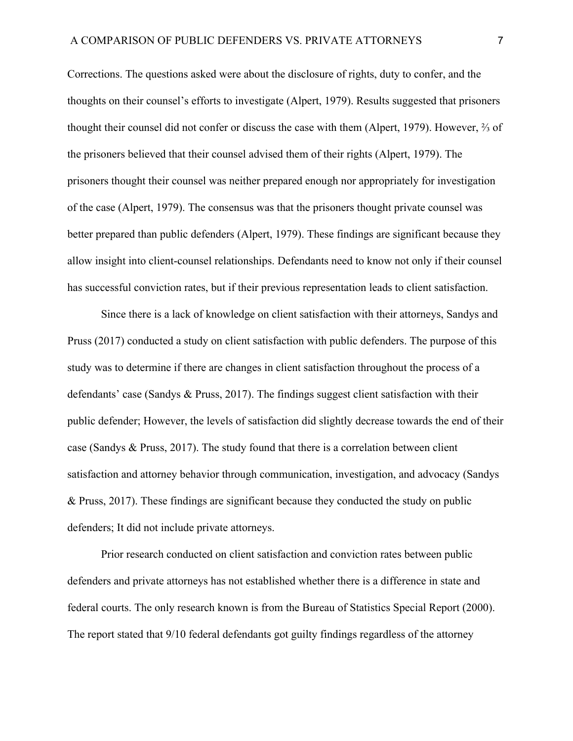Corrections. The questions asked were about the disclosure of rights, duty to confer, and the thoughts on their counsel's efforts to investigate (Alpert, 1979). Results suggested that prisoners thought their counsel did not confer or discuss the case with them (Alpert, 1979). However, ⅔ of the prisoners believed that their counsel advised them of their rights (Alpert, 1979). The prisoners thought their counsel was neither prepared enough nor appropriately for investigation of the case (Alpert, 1979). The consensus was that the prisoners thought private counsel was better prepared than public defenders (Alpert, 1979). These findings are significant because they allow insight into client-counsel relationships. Defendants need to know not only if their counsel has successful conviction rates, but if their previous representation leads to client satisfaction.

Since there is a lack of knowledge on client satisfaction with their attorneys, Sandys and Pruss (2017) conducted a study on client satisfaction with public defenders. The purpose of this study was to determine if there are changes in client satisfaction throughout the process of a defendants' case (Sandys & Pruss, 2017). The findings suggest client satisfaction with their public defender; However, the levels of satisfaction did slightly decrease towards the end of their case (Sandys & Pruss, 2017). The study found that there is a correlation between client satisfaction and attorney behavior through communication, investigation, and advocacy (Sandys & Pruss, 2017). These findings are significant because they conducted the study on public defenders; It did not include private attorneys.

Prior research conducted on client satisfaction and conviction rates between public defenders and private attorneys has not established whether there is a difference in state and federal courts. The only research known is from the Bureau of Statistics Special Report (2000). The report stated that 9/10 federal defendants got guilty findings regardless of the attorney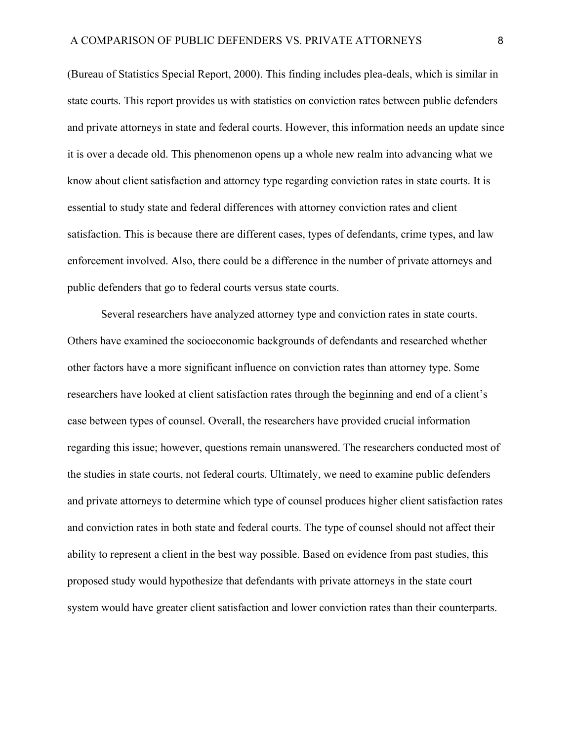(Bureau of Statistics Special Report, 2000). This finding includes plea-deals, which is similar in state courts. This report provides us with statistics on conviction rates between public defenders and private attorneys in state and federal courts. However, this information needs an update since it is over a decade old. This phenomenon opens up a whole new realm into advancing what we know about client satisfaction and attorney type regarding conviction rates in state courts. It is essential to study state and federal differences with attorney conviction rates and client satisfaction. This is because there are different cases, types of defendants, crime types, and law enforcement involved. Also, there could be a difference in the number of private attorneys and public defenders that go to federal courts versus state courts.

Several researchers have analyzed attorney type and conviction rates in state courts. Others have examined the socioeconomic backgrounds of defendants and researched whether other factors have a more significant influence on conviction rates than attorney type. Some researchers have looked at client satisfaction rates through the beginning and end of a client's case between types of counsel. Overall, the researchers have provided crucial information regarding this issue; however, questions remain unanswered. The researchers conducted most of the studies in state courts, not federal courts. Ultimately, we need to examine public defenders and private attorneys to determine which type of counsel produces higher client satisfaction rates and conviction rates in both state and federal courts. The type of counsel should not affect their ability to represent a client in the best way possible. Based on evidence from past studies, this proposed study would hypothesize that defendants with private attorneys in the state court system would have greater client satisfaction and lower conviction rates than their counterparts.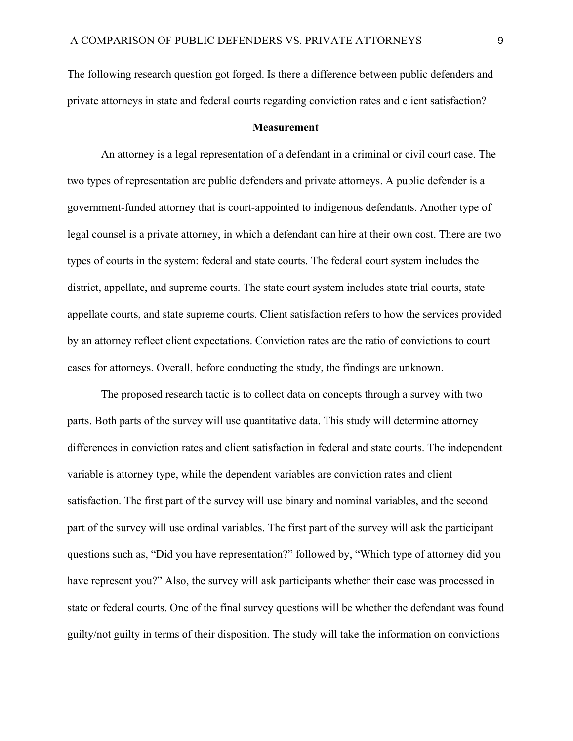The following research question got forged. Is there a difference between public defenders and private attorneys in state and federal courts regarding conviction rates and client satisfaction?

#### **Measurement**

An attorney is a legal representation of a defendant in a criminal or civil court case. The two types of representation are public defenders and private attorneys. A public defender is a government-funded attorney that is court-appointed to indigenous defendants. Another type of legal counsel is a private attorney, in which a defendant can hire at their own cost. There are two types of courts in the system: federal and state courts. The federal court system includes the district, appellate, and supreme courts. The state court system includes state trial courts, state appellate courts, and state supreme courts. Client satisfaction refers to how the services provided by an attorney reflect client expectations. Conviction rates are the ratio of convictions to court cases for attorneys. Overall, before conducting the study, the findings are unknown.

The proposed research tactic is to collect data on concepts through a survey with two parts. Both parts of the survey will use quantitative data. This study will determine attorney differences in conviction rates and client satisfaction in federal and state courts. The independent variable is attorney type, while the dependent variables are conviction rates and client satisfaction. The first part of the survey will use binary and nominal variables, and the second part of the survey will use ordinal variables. The first part of the survey will ask the participant questions such as, "Did you have representation?" followed by, "Which type of attorney did you have represent you?" Also, the survey will ask participants whether their case was processed in state or federal courts. One of the final survey questions will be whether the defendant was found guilty/not guilty in terms of their disposition. The study will take the information on convictions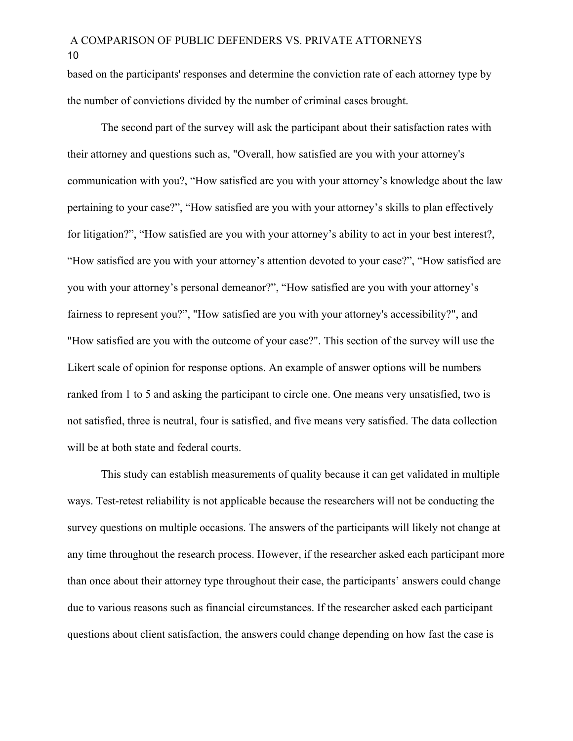based on the participants' responses and determine the conviction rate of each attorney type by the number of convictions divided by the number of criminal cases brought.

The second part of the survey will ask the participant about their satisfaction rates with their attorney and questions such as, "Overall, how satisfied are you with your attorney's communication with you?, "How satisfied are you with your attorney's knowledge about the law pertaining to your case?", "How satisfied are you with your attorney's skills to plan effectively for litigation?", "How satisfied are you with your attorney's ability to act in your best interest?, "How satisfied are you with your attorney's attention devoted to your case?", "How satisfied are you with your attorney's personal demeanor?", "How satisfied are you with your attorney's fairness to represent you?", "How satisfied are you with your attorney's accessibility?", and "How satisfied are you with the outcome of your case?". This section of the survey will use the Likert scale of opinion for response options. An example of answer options will be numbers ranked from 1 to 5 and asking the participant to circle one. One means very unsatisfied, two is not satisfied, three is neutral, four is satisfied, and five means very satisfied. The data collection will be at both state and federal courts.

This study can establish measurements of quality because it can get validated in multiple ways. Test-retest reliability is not applicable because the researchers will not be conducting the survey questions on multiple occasions. The answers of the participants will likely not change at any time throughout the research process. However, if the researcher asked each participant more than once about their attorney type throughout their case, the participants' answers could change due to various reasons such as financial circumstances. If the researcher asked each participant questions about client satisfaction, the answers could change depending on how fast the case is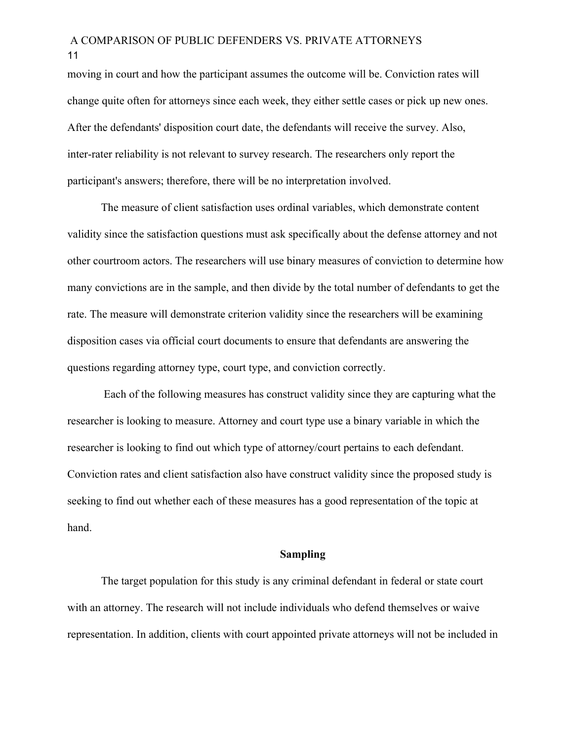moving in court and how the participant assumes the outcome will be. Conviction rates will change quite often for attorneys since each week, they either settle cases or pick up new ones. After the defendants' disposition court date, the defendants will receive the survey. Also, inter-rater reliability is not relevant to survey research. The researchers only report the participant's answers; therefore, there will be no interpretation involved.

The measure of client satisfaction uses ordinal variables, which demonstrate content validity since the satisfaction questions must ask specifically about the defense attorney and not other courtroom actors. The researchers will use binary measures of conviction to determine how many convictions are in the sample, and then divide by the total number of defendants to get the rate. The measure will demonstrate criterion validity since the researchers will be examining disposition cases via official court documents to ensure that defendants are answering the questions regarding attorney type, court type, and conviction correctly.

 Each of the following measures has construct validity since they are capturing what the researcher is looking to measure. Attorney and court type use a binary variable in which the researcher is looking to find out which type of attorney/court pertains to each defendant. Conviction rates and client satisfaction also have construct validity since the proposed study is seeking to find out whether each of these measures has a good representation of the topic at hand.

#### **Sampling**

The target population for this study is any criminal defendant in federal or state court with an attorney. The research will not include individuals who defend themselves or waive representation. In addition, clients with court appointed private attorneys will not be included in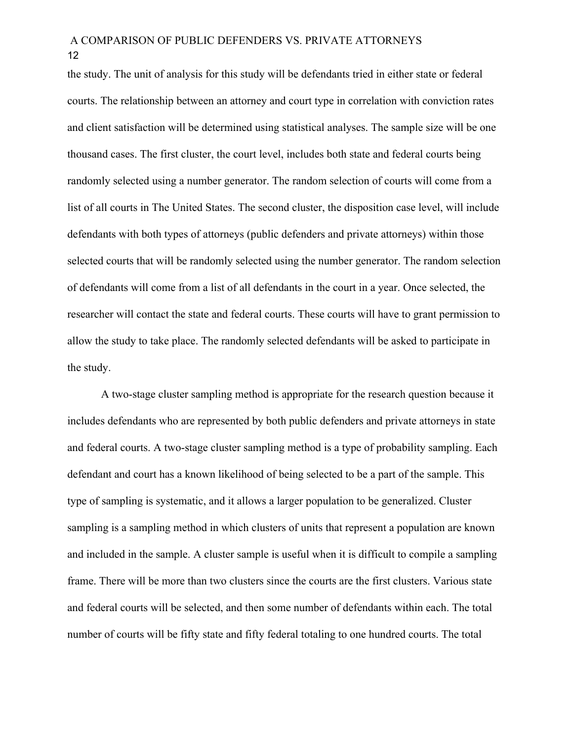the study. The unit of analysis for this study will be defendants tried in either state or federal courts. The relationship between an attorney and court type in correlation with conviction rates and client satisfaction will be determined using statistical analyses. The sample size will be one thousand cases. The first cluster, the court level, includes both state and federal courts being randomly selected using a number generator. The random selection of courts will come from a list of all courts in The United States. The second cluster, the disposition case level, will include defendants with both types of attorneys (public defenders and private attorneys) within those selected courts that will be randomly selected using the number generator. The random selection of defendants will come from a list of all defendants in the court in a year. Once selected, the researcher will contact the state and federal courts. These courts will have to grant permission to allow the study to take place. The randomly selected defendants will be asked to participate in the study.

A two-stage cluster sampling method is appropriate for the research question because it includes defendants who are represented by both public defenders and private attorneys in state and federal courts. A two-stage cluster sampling method is a type of probability sampling. Each defendant and court has a known likelihood of being selected to be a part of the sample. This type of sampling is systematic, and it allows a larger population to be generalized. Cluster sampling is a sampling method in which clusters of units that represent a population are known and included in the sample. A cluster sample is useful when it is difficult to compile a sampling frame. There will be more than two clusters since the courts are the first clusters. Various state and federal courts will be selected, and then some number of defendants within each. The total number of courts will be fifty state and fifty federal totaling to one hundred courts. The total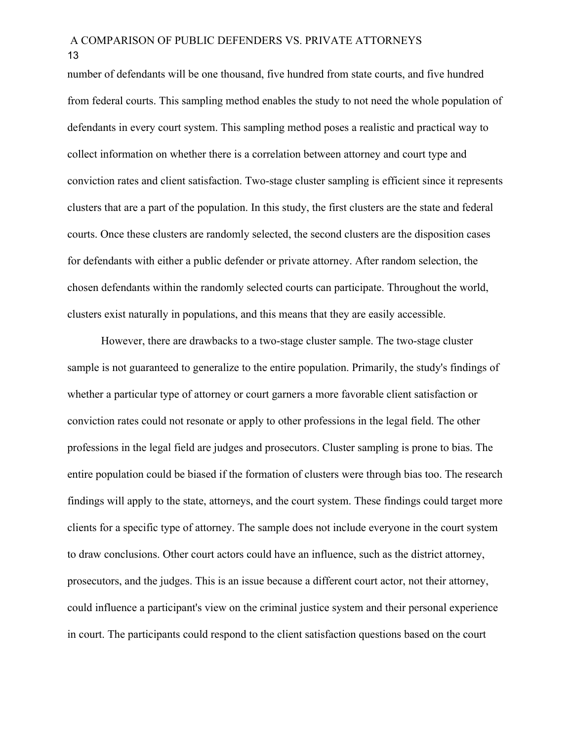number of defendants will be one thousand, five hundred from state courts, and five hundred from federal courts. This sampling method enables the study to not need the whole population of defendants in every court system. This sampling method poses a realistic and practical way to collect information on whether there is a correlation between attorney and court type and conviction rates and client satisfaction. Two-stage cluster sampling is efficient since it represents clusters that are a part of the population. In this study, the first clusters are the state and federal courts. Once these clusters are randomly selected, the second clusters are the disposition cases for defendants with either a public defender or private attorney. After random selection, the chosen defendants within the randomly selected courts can participate. Throughout the world, clusters exist naturally in populations, and this means that they are easily accessible.

However, there are drawbacks to a two-stage cluster sample. The two-stage cluster sample is not guaranteed to generalize to the entire population. Primarily, the study's findings of whether a particular type of attorney or court garners a more favorable client satisfaction or conviction rates could not resonate or apply to other professions in the legal field. The other professions in the legal field are judges and prosecutors. Cluster sampling is prone to bias. The entire population could be biased if the formation of clusters were through bias too. The research findings will apply to the state, attorneys, and the court system. These findings could target more clients for a specific type of attorney. The sample does not include everyone in the court system to draw conclusions. Other court actors could have an influence, such as the district attorney, prosecutors, and the judges. This is an issue because a different court actor, not their attorney, could influence a participant's view on the criminal justice system and their personal experience in court. The participants could respond to the client satisfaction questions based on the court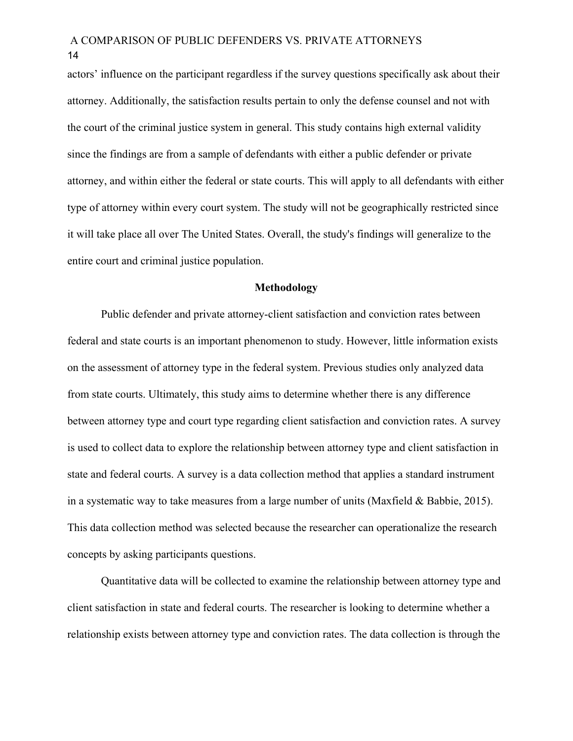actors' influence on the participant regardless if the survey questions specifically ask about their attorney. Additionally, the satisfaction results pertain to only the defense counsel and not with the court of the criminal justice system in general. This study contains high external validity since the findings are from a sample of defendants with either a public defender or private attorney, and within either the federal or state courts. This will apply to all defendants with either type of attorney within every court system. The study will not be geographically restricted since it will take place all over The United States. Overall, the study's findings will generalize to the entire court and criminal justice population.

#### **Methodology**

Public defender and private attorney-client satisfaction and conviction rates between federal and state courts is an important phenomenon to study. However, little information exists on the assessment of attorney type in the federal system. Previous studies only analyzed data from state courts. Ultimately, this study aims to determine whether there is any difference between attorney type and court type regarding client satisfaction and conviction rates. A survey is used to collect data to explore the relationship between attorney type and client satisfaction in state and federal courts. A survey is a data collection method that applies a standard instrument in a systematic way to take measures from a large number of units (Maxfield & Babbie, 2015). This data collection method was selected because the researcher can operationalize the research concepts by asking participants questions.

Quantitative data will be collected to examine the relationship between attorney type and client satisfaction in state and federal courts. The researcher is looking to determine whether a relationship exists between attorney type and conviction rates. The data collection is through the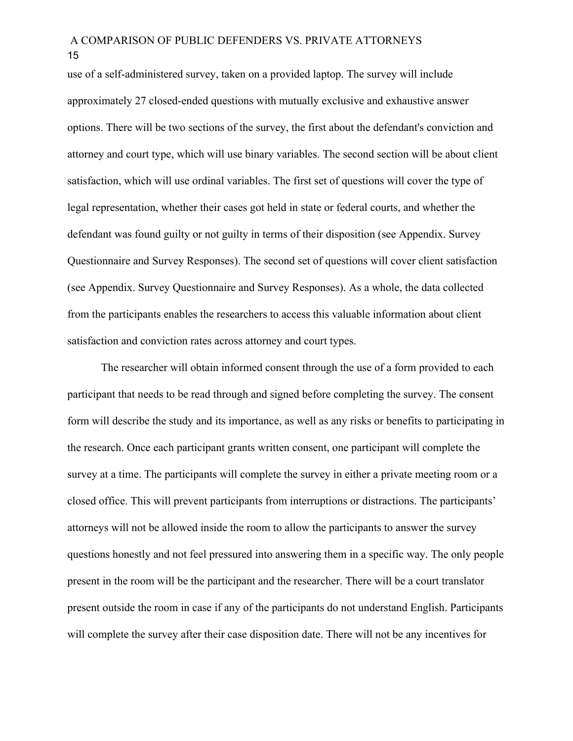use of a self-administered survey, taken on a provided laptop. The survey will include approximately 27 closed-ended questions with mutually exclusive and exhaustive answer options. There will be two sections of the survey, the first about the defendant's conviction and attorney and court type, which will use binary variables. The second section will be about client satisfaction, which will use ordinal variables. The first set of questions will cover the type of legal representation, whether their cases got held in state or federal courts, and whether the defendant was found guilty or not guilty in terms of their disposition (see Appendix. Survey Questionnaire and Survey Responses). The second set of questions will cover client satisfaction (see Appendix. Survey Questionnaire and Survey Responses). As a whole, the data collected from the participants enables the researchers to access this valuable information about client satisfaction and conviction rates across attorney and court types.

The researcher will obtain informed consent through the use of a form provided to each participant that needs to be read through and signed before completing the survey. The consent form will describe the study and its importance, as well as any risks or benefits to participating in the research. Once each participant grants written consent, one participant will complete the survey at a time. The participants will complete the survey in either a private meeting room or a closed office. This will prevent participants from interruptions or distractions. The participants' attorneys will not be allowed inside the room to allow the participants to answer the survey questions honestly and not feel pressured into answering them in a specific way. The only people present in the room will be the participant and the researcher. There will be a court translator present outside the room in case if any of the participants do not understand English. Participants will complete the survey after their case disposition date. There will not be any incentives for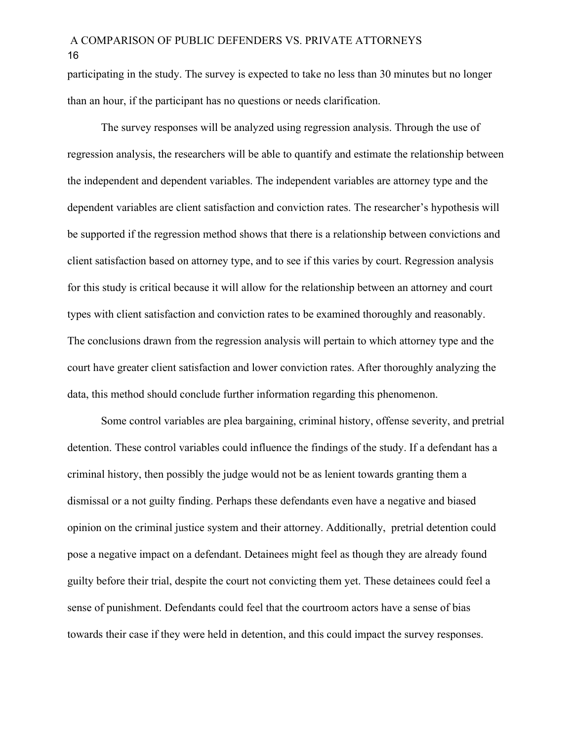participating in the study. The survey is expected to take no less than 30 minutes but no longer than an hour, if the participant has no questions or needs clarification.

The survey responses will be analyzed using regression analysis. Through the use of regression analysis, the researchers will be able to quantify and estimate the relationship between the independent and dependent variables. The independent variables are attorney type and the dependent variables are client satisfaction and conviction rates. The researcher's hypothesis will be supported if the regression method shows that there is a relationship between convictions and client satisfaction based on attorney type, and to see if this varies by court. Regression analysis for this study is critical because it will allow for the relationship between an attorney and court types with client satisfaction and conviction rates to be examined thoroughly and reasonably. The conclusions drawn from the regression analysis will pertain to which attorney type and the court have greater client satisfaction and lower conviction rates. After thoroughly analyzing the data, this method should conclude further information regarding this phenomenon.

Some control variables are plea bargaining, criminal history, offense severity, and pretrial detention. These control variables could influence the findings of the study. If a defendant has a criminal history, then possibly the judge would not be as lenient towards granting them a dismissal or a not guilty finding. Perhaps these defendants even have a negative and biased opinion on the criminal justice system and their attorney. Additionally, pretrial detention could pose a negative impact on a defendant. Detainees might feel as though they are already found guilty before their trial, despite the court not convicting them yet. These detainees could feel a sense of punishment. Defendants could feel that the courtroom actors have a sense of bias towards their case if they were held in detention, and this could impact the survey responses.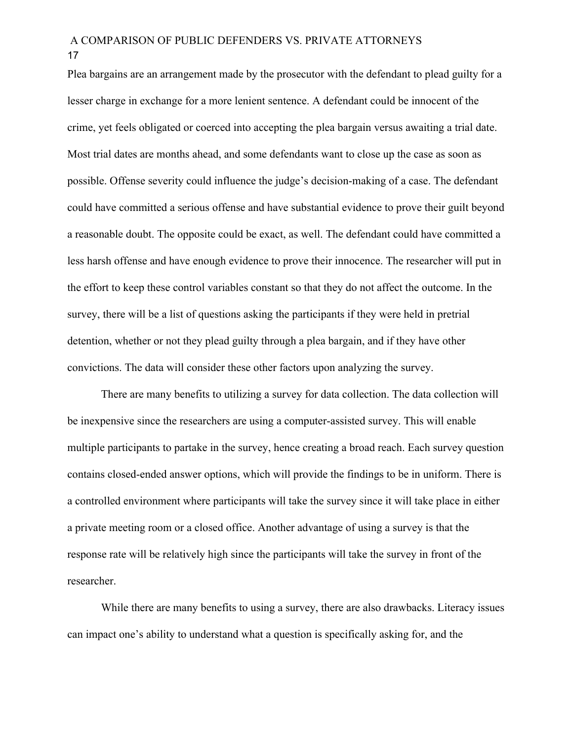Plea bargains are an arrangement made by the prosecutor with the defendant to plead guilty for a lesser charge in exchange for a more lenient sentence. A defendant could be innocent of the crime, yet feels obligated or coerced into accepting the plea bargain versus awaiting a trial date. Most trial dates are months ahead, and some defendants want to close up the case as soon as possible. Offense severity could influence the judge's decision-making of a case. The defendant could have committed a serious offense and have substantial evidence to prove their guilt beyond a reasonable doubt. The opposite could be exact, as well. The defendant could have committed a less harsh offense and have enough evidence to prove their innocence. The researcher will put in the effort to keep these control variables constant so that they do not affect the outcome. In the survey, there will be a list of questions asking the participants if they were held in pretrial detention, whether or not they plead guilty through a plea bargain, and if they have other convictions. The data will consider these other factors upon analyzing the survey.

There are many benefits to utilizing a survey for data collection. The data collection will be inexpensive since the researchers are using a computer-assisted survey. This will enable multiple participants to partake in the survey, hence creating a broad reach. Each survey question contains closed-ended answer options, which will provide the findings to be in uniform. There is a controlled environment where participants will take the survey since it will take place in either a private meeting room or a closed office. Another advantage of using a survey is that the response rate will be relatively high since the participants will take the survey in front of the researcher.

While there are many benefits to using a survey, there are also drawbacks. Literacy issues can impact one's ability to understand what a question is specifically asking for, and the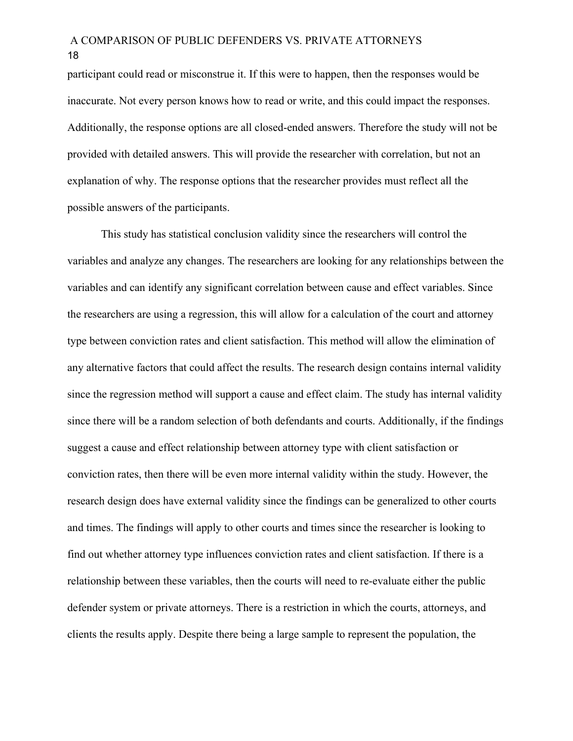participant could read or misconstrue it. If this were to happen, then the responses would be inaccurate. Not every person knows how to read or write, and this could impact the responses. Additionally, the response options are all closed-ended answers. Therefore the study will not be provided with detailed answers. This will provide the researcher with correlation, but not an explanation of why. The response options that the researcher provides must reflect all the possible answers of the participants.

This study has statistical conclusion validity since the researchers will control the variables and analyze any changes. The researchers are looking for any relationships between the variables and can identify any significant correlation between cause and effect variables. Since the researchers are using a regression, this will allow for a calculation of the court and attorney type between conviction rates and client satisfaction. This method will allow the elimination of any alternative factors that could affect the results. The research design contains internal validity since the regression method will support a cause and effect claim. The study has internal validity since there will be a random selection of both defendants and courts. Additionally, if the findings suggest a cause and effect relationship between attorney type with client satisfaction or conviction rates, then there will be even more internal validity within the study. However, the research design does have external validity since the findings can be generalized to other courts and times. The findings will apply to other courts and times since the researcher is looking to find out whether attorney type influences conviction rates and client satisfaction. If there is a relationship between these variables, then the courts will need to re-evaluate either the public defender system or private attorneys. There is a restriction in which the courts, attorneys, and clients the results apply. Despite there being a large sample to represent the population, the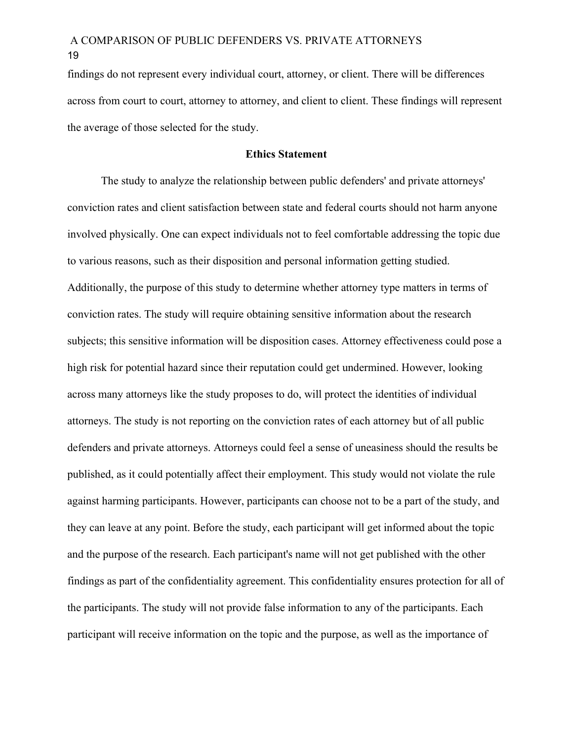findings do not represent every individual court, attorney, or client. There will be differences across from court to court, attorney to attorney, and client to client. These findings will represent the average of those selected for the study.

#### **Ethics Statement**

The study to analyze the relationship between public defenders' and private attorneys' conviction rates and client satisfaction between state and federal courts should not harm anyone involved physically. One can expect individuals not to feel comfortable addressing the topic due to various reasons, such as their disposition and personal information getting studied. Additionally, the purpose of this study to determine whether attorney type matters in terms of conviction rates. The study will require obtaining sensitive information about the research subjects; this sensitive information will be disposition cases. Attorney effectiveness could pose a high risk for potential hazard since their reputation could get undermined. However, looking across many attorneys like the study proposes to do, will protect the identities of individual attorneys. The study is not reporting on the conviction rates of each attorney but of all public defenders and private attorneys. Attorneys could feel a sense of uneasiness should the results be published, as it could potentially affect their employment. This study would not violate the rule against harming participants. However, participants can choose not to be a part of the study, and they can leave at any point. Before the study, each participant will get informed about the topic and the purpose of the research. Each participant's name will not get published with the other findings as part of the confidentiality agreement. This confidentiality ensures protection for all of the participants. The study will not provide false information to any of the participants. Each participant will receive information on the topic and the purpose, as well as the importance of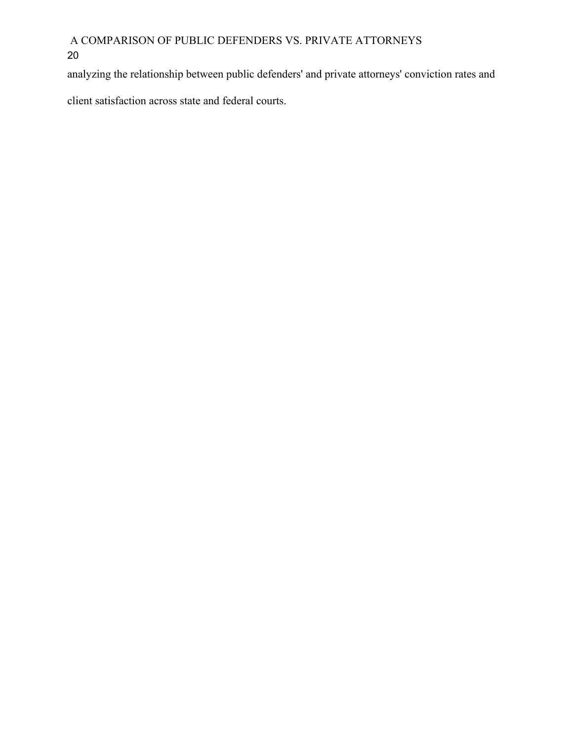analyzing the relationship between public defenders' and private attorneys' conviction rates and

client satisfaction across state and federal courts.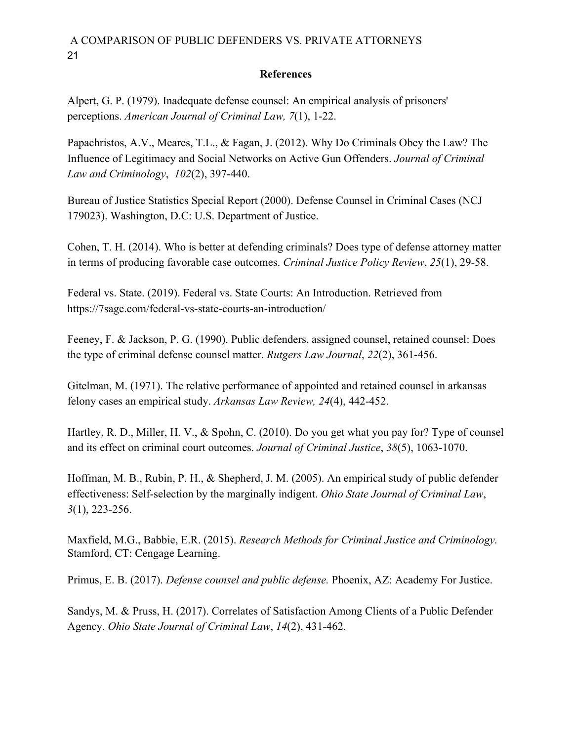### **References**

Alpert, G. P. (1979). Inadequate defense counsel: An empirical analysis of prisoners' perceptions. *American Journal of Criminal Law, 7*(1), 1-22.

Papachristos, A.V., Meares, T.L., & Fagan, J. (2012). Why Do Criminals Obey the Law? The Influence of Legitimacy and Social Networks on Active Gun Offenders. *Journal of Criminal Law and Criminology*, *102*(2), 397-440.

Bureau of Justice Statistics Special Report (2000). Defense Counsel in Criminal Cases (NCJ 179023). Washington, D.C: U.S. Department of Justice.

Cohen, T. H. (2014). Who is better at defending criminals? Does type of defense attorney matter in terms of producing favorable case outcomes. *Criminal Justice Policy Review*, *25*(1), 29-58.

Federal vs. State. (2019). Federal vs. State Courts: An Introduction. Retrieved from https://7sage.com/federal-vs-state-courts-an-introduction/

Feeney, F. & Jackson, P. G. (1990). Public defenders, assigned counsel, retained counsel: Does the type of criminal defense counsel matter. *Rutgers Law Journal*, *22*(2), 361-456.

Gitelman, M. (1971). The relative performance of appointed and retained counsel in arkansas felony cases an empirical study. *Arkansas Law Review, 24*(4), 442-452.

Hartley, R. D., Miller, H. V., & Spohn, C. (2010). Do you get what you pay for? Type of counsel and its effect on criminal court outcomes. *Journal of Criminal Justice*, *38*(5), 1063-1070.

Hoffman, M. B., Rubin, P. H., & Shepherd, J. M. (2005). An empirical study of public defender effectiveness: Self-selection by the marginally indigent. *Ohio State Journal of Criminal Law*, *3*(1), 223-256.

Maxfield, M.G., Babbie, E.R. (2015). *Research Methods for Criminal Justice and Criminology.* Stamford, CT: Cengage Learning.

Primus, E. B. (2017). *Defense counsel and public defense.* Phoenix, AZ: Academy For Justice.

Sandys, M. & Pruss, H. (2017). Correlates of Satisfaction Among Clients of a Public Defender Agency. *Ohio State Journal of Criminal Law*, *14*(2), 431-462.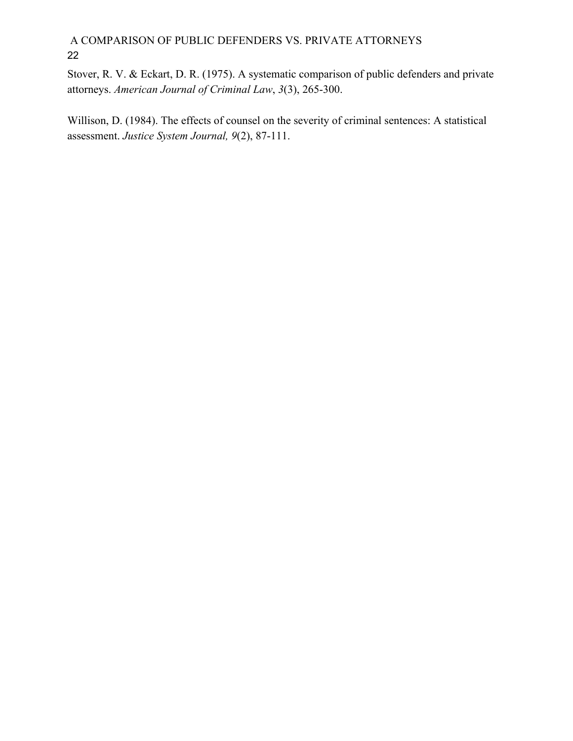Stover, R. V. & Eckart, D. R. (1975). A systematic comparison of public defenders and private attorneys. *American Journal of Criminal Law*, *3*(3), 265-300.

Willison, D. (1984). The effects of counsel on the severity of criminal sentences: A statistical assessment. *Justice System Journal, 9*(2), 87-111.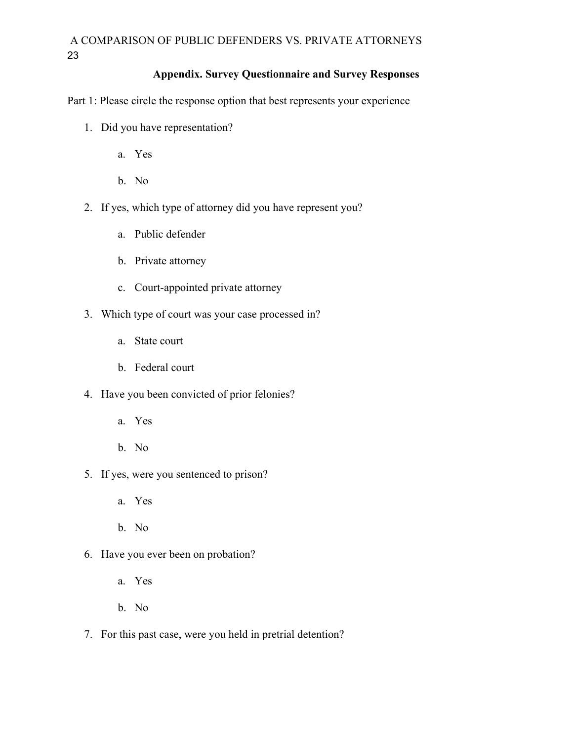### **Appendix. Survey Questionnaire and Survey Responses**

Part 1: Please circle the response option that best represents your experience

- 1. Did you have representation?
	- a. Yes
	- b. No
- 2. If yes, which type of attorney did you have represent you?
	- a. Public defender
	- b. Private attorney
	- c. Court-appointed private attorney
- 3. Which type of court was your case processed in?
	- a. State court
	- b. Federal court
- 4. Have you been convicted of prior felonies?
	- a. Yes
	- b. No
- 5. If yes, were you sentenced to prison?
	- a. Yes
	- b. No
- 6. Have you ever been on probation?
	- a. Yes
	- b. No
- 7. For this past case, were you held in pretrial detention?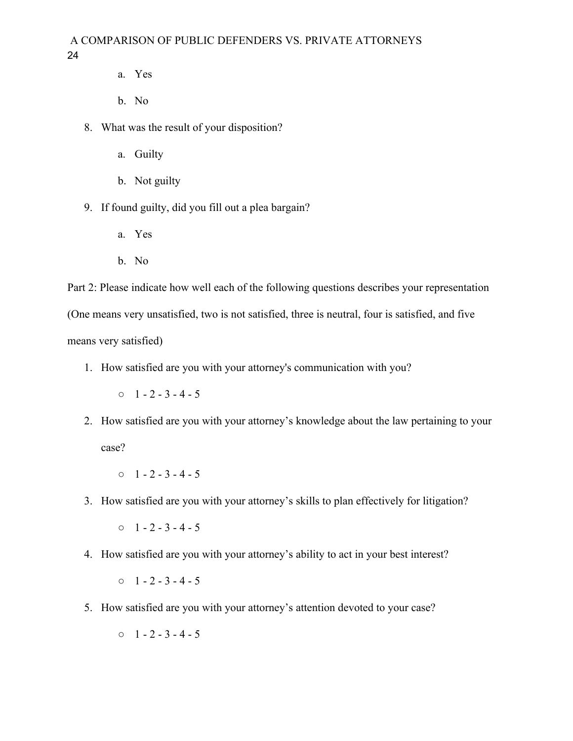- a. Yes
- b. No
- 8. What was the result of your disposition?
	- a. Guilty
	- b. Not guilty
- 9. If found guilty, did you fill out a plea bargain?
	- a. Yes
	- b. No

Part 2: Please indicate how well each of the following questions describes your representation (One means very unsatisfied, two is not satisfied, three is neutral, four is satisfied, and five means very satisfied)

1. How satisfied are you with your attorney's communication with you?

 $0 \quad 1 - 2 - 3 - 4 - 5$ 

- 2. How satisfied are you with your attorney's knowledge about the law pertaining to your case?
	- $0 \quad 1 2 3 4 5$
- 3. How satisfied are you with your attorney's skills to plan effectively for litigation?

 $0 \quad 1 - 2 - 3 - 4 - 5$ 

4. How satisfied are you with your attorney's ability to act in your best interest?

 $0 \quad 1 - 2 - 3 - 4 - 5$ 

- 5. How satisfied are you with your attorney's attention devoted to your case?
	- $0 \quad 1 2 3 4 5$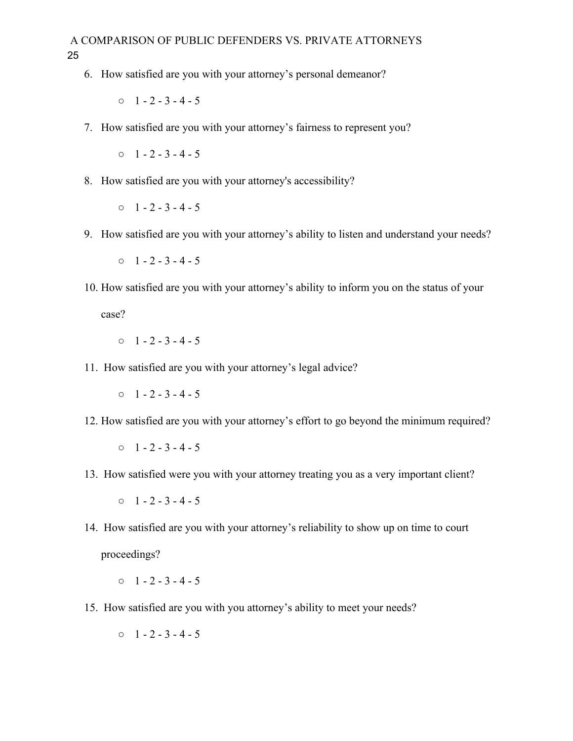6. How satisfied are you with your attorney's personal demeanor?

 $0 \quad 1 - 2 - 3 - 4 - 5$ 

7. How satisfied are you with your attorney's fairness to represent you?

 $0 \quad 1 - 2 - 3 - 4 - 5$ 

8. How satisfied are you with your attorney's accessibility?

 $0 \quad 1 - 2 - 3 - 4 - 5$ 

9. How satisfied are you with your attorney's ability to listen and understand your needs?

 $0 \quad 1 - 2 - 3 - 4 - 5$ 

10. How satisfied are you with your attorney's ability to inform you on the status of your

case?

```
0 \quad 1 - 2 - 3 - 4 - 5
```
11. How satisfied are you with your attorney's legal advice?

 $0 \quad 1 - 2 - 3 - 4 - 5$ 

12. How satisfied are you with your attorney's effort to go beyond the minimum required?

 $0 \quad 1 - 2 - 3 - 4 - 5$ 

13. How satisfied were you with your attorney treating you as a very important client?

 $0 \quad 1 - 2 - 3 - 4 - 5$ 

14. How satisfied are you with your attorney's reliability to show up on time to court proceedings?

 $0 \quad 1 - 2 - 3 - 4 - 5$ 

- 15. How satisfied are you with you attorney's ability to meet your needs?
	- $0 \quad 1 2 3 4 5$